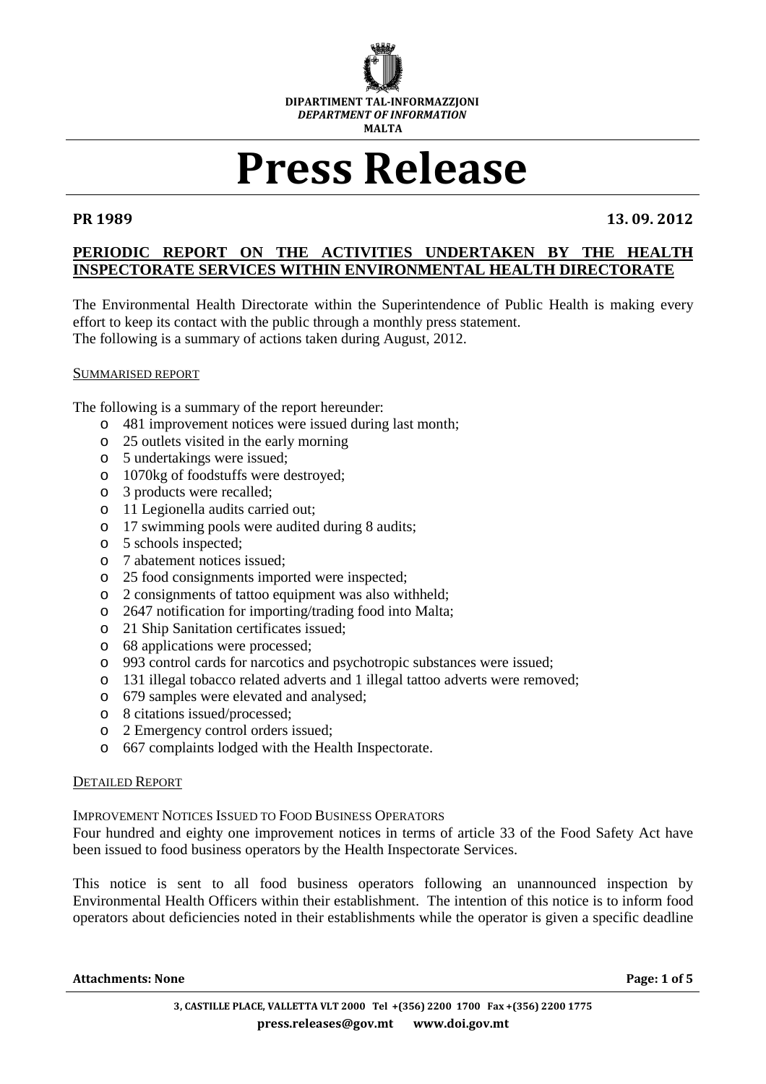

# Press Release

PR 1989 13. 09. 2012

# **PERIODIC REPORT ON THE ACTIVITIES UNDERTAKEN BY THE HEALTH INSPECTORATE SERVICES WITHIN ENVIRONMENTAL HEALTH DIRECTORATE**

The Environmental Health Directorate within the Superintendence of Public Health is making every effort to keep its contact with the public through a monthly press statement. The following is a summary of actions taken during August, 2012.

#### SUMMARISED REPORT

The following is a summary of the report hereunder:

- o 481 improvement notices were issued during last month;
- o 25 outlets visited in the early morning
- o 5 undertakings were issued;
- o 1070kg of foodstuffs were destroyed;
- o 3 products were recalled;
- o 11 Legionella audits carried out;
- o 17 swimming pools were audited during 8 audits;
- o 5 schools inspected;
- o 7 abatement notices issued;
- o 25 food consignments imported were inspected;
- o 2 consignments of tattoo equipment was also withheld;
- o 2647 notification for importing/trading food into Malta;
- o 21 Ship Sanitation certificates issued;
- o 68 applications were processed;
- o 993 control cards for narcotics and psychotropic substances were issued;
- o 131 illegal tobacco related adverts and 1 illegal tattoo adverts were removed;
- o 679 samples were elevated and analysed;
- o 8 citations issued/processed;
- o 2 Emergency control orders issued;
- o 667 complaints lodged with the Health Inspectorate.

#### DETAILED REPORT

IMPROVEMENT NOTICES ISSUED TO FOOD BUSINESS OPERATORS

Four hundred and eighty one improvement notices in terms of article 33 of the Food Safety Act have been issued to food business operators by the Health Inspectorate Services.

This notice is sent to all food business operators following an unannounced inspection by Environmental Health Officers within their establishment. The intention of this notice is to inform food operators about deficiencies noted in their establishments while the operator is given a specific deadline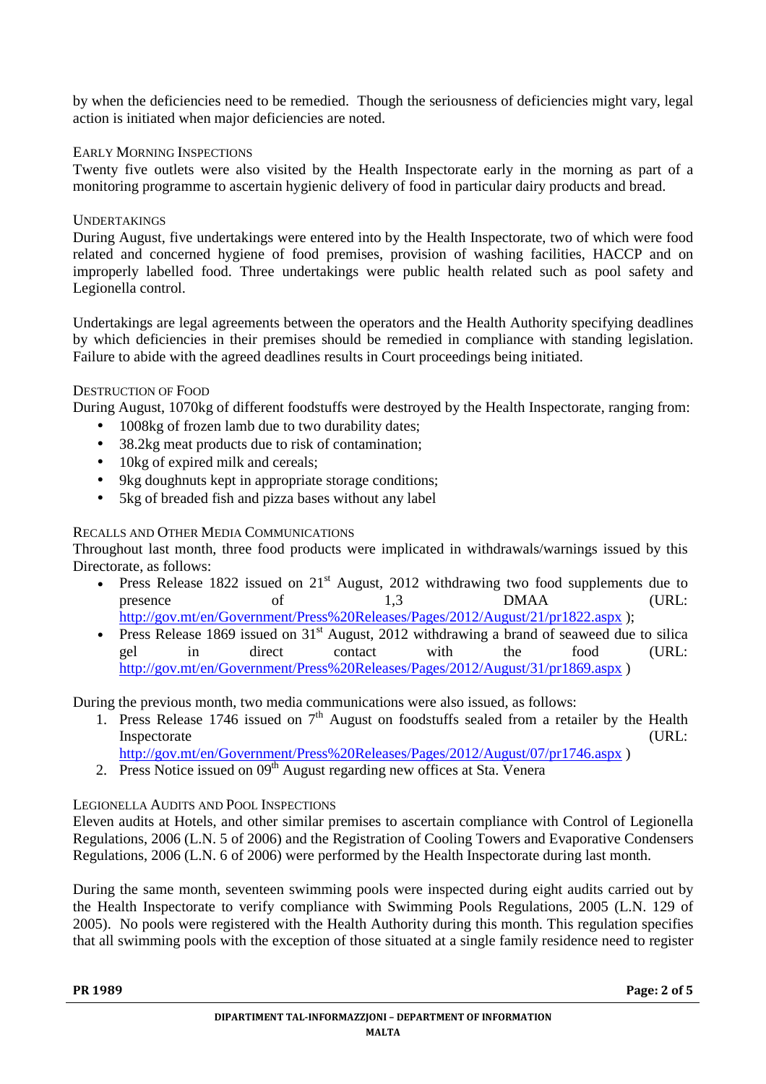by when the deficiencies need to be remedied. Though the seriousness of deficiencies might vary, legal action is initiated when major deficiencies are noted.

# EARLY MORNING INSPECTIONS

Twenty five outlets were also visited by the Health Inspectorate early in the morning as part of a monitoring programme to ascertain hygienic delivery of food in particular dairy products and bread.

### **UNDERTAKINGS**

During August, five undertakings were entered into by the Health Inspectorate, two of which were food related and concerned hygiene of food premises, provision of washing facilities, HACCP and on improperly labelled food. Three undertakings were public health related such as pool safety and Legionella control.

Undertakings are legal agreements between the operators and the Health Authority specifying deadlines by which deficiencies in their premises should be remedied in compliance with standing legislation. Failure to abide with the agreed deadlines results in Court proceedings being initiated.

### DESTRUCTION OF FOOD

During August, 1070kg of different foodstuffs were destroyed by the Health Inspectorate, ranging from:

- 1008kg of frozen lamb due to two durability dates;
- 38.2kg meat products due to risk of contamination;
- 10kg of expired milk and cereals;
- 9kg doughnuts kept in appropriate storage conditions;
- 5kg of breaded fish and pizza bases without any label

# RECALLS AND OTHER MEDIA COMMUNICATIONS

Throughout last month, three food products were implicated in withdrawals/warnings issued by this Directorate, as follows:

- Press Release 1822 issued on  $21^{st}$  August, 2012 withdrawing two food supplements due to presence of  $1.3$  (URL: presence of 1,3 DMAA (URL: http://gov.mt/en/Government/Press%20Releases/Pages/2012/August/21/pr1822.aspx );
- Press Release 1869 issued on  $31<sup>st</sup>$  August, 2012 withdrawing a brand of seaweed due to silica gel in direct contact with the food (URL: http://gov.mt/en/Government/Press%20Releases/Pages/2012/August/31/pr1869.aspx )

During the previous month, two media communications were also issued, as follows:

1. Press Release 1746 issued on  $7<sup>th</sup>$  August on foodstuffs sealed from a retailer by the Health Inspectorate  $(URL:$ 

http://gov.mt/en/Government/Press%20Releases/Pages/2012/August/07/pr1746.aspx )

2. Press Notice issued on  $09<sup>th</sup>$  August regarding new offices at Sta. Venera

# LEGIONELLA AUDITS AND POOL INSPECTIONS

Eleven audits at Hotels, and other similar premises to ascertain compliance with Control of Legionella Regulations, 2006 (L.N. 5 of 2006) and the Registration of Cooling Towers and Evaporative Condensers Regulations, 2006 (L.N. 6 of 2006) were performed by the Health Inspectorate during last month.

During the same month, seventeen swimming pools were inspected during eight audits carried out by the Health Inspectorate to verify compliance with Swimming Pools Regulations, 2005 (L.N. 129 of 2005). No pools were registered with the Health Authority during this month. This regulation specifies that all swimming pools with the exception of those situated at a single family residence need to register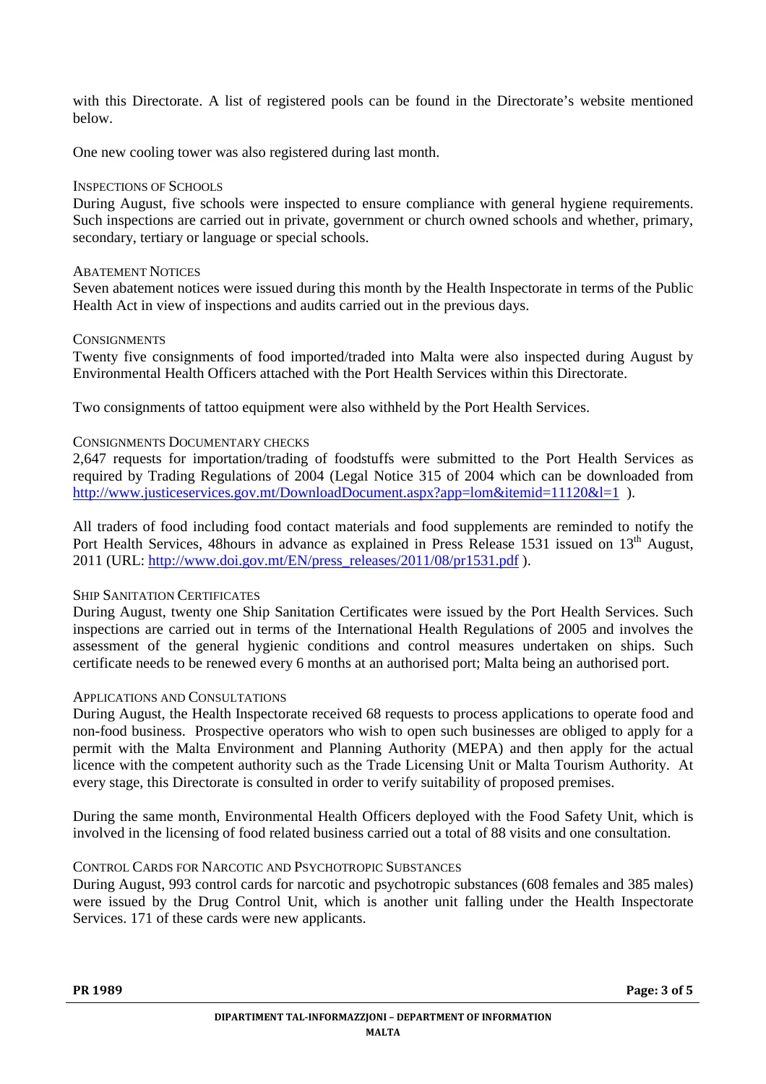with this Directorate. A list of registered pools can be found in the Directorate's website mentioned below.

One new cooling tower was also registered during last month.

#### INSPECTIONS OF SCHOOLS

During August, five schools were inspected to ensure compliance with general hygiene requirements. Such inspections are carried out in private, government or church owned schools and whether, primary, secondary, tertiary or language or special schools.

#### ABATEMENT NOTICES

Seven abatement notices were issued during this month by the Health Inspectorate in terms of the Public Health Act in view of inspections and audits carried out in the previous days.

#### **CONSIGNMENTS**

Twenty five consignments of food imported/traded into Malta were also inspected during August by Environmental Health Officers attached with the Port Health Services within this Directorate.

Two consignments of tattoo equipment were also withheld by the Port Health Services.

#### CONSIGNMENTS DOCUMENTARY CHECKS

2,647 requests for importation/trading of foodstuffs were submitted to the Port Health Services as required by Trading Regulations of 2004 (Legal Notice 315 of 2004 which can be downloaded from http://www.justiceservices.gov.mt/DownloadDocument.aspx?app=lom&itemid=11120&l=1 ).

All traders of food including food contact materials and food supplements are reminded to notify the Port Health Services, 48hours in advance as explained in Press Release 1531 issued on 13<sup>th</sup> August, 2011 (URL: http://www.doi.gov.mt/EN/press\_releases/2011/08/pr1531.pdf ).

#### SHIP SANITATION CERTIFICATES

During August, twenty one Ship Sanitation Certificates were issued by the Port Health Services. Such inspections are carried out in terms of the International Health Regulations of 2005 and involves the assessment of the general hygienic conditions and control measures undertaken on ships. Such certificate needs to be renewed every 6 months at an authorised port; Malta being an authorised port.

#### APPLICATIONS AND CONSULTATIONS

During August, the Health Inspectorate received 68 requests to process applications to operate food and non-food business. Prospective operators who wish to open such businesses are obliged to apply for a permit with the Malta Environment and Planning Authority (MEPA) and then apply for the actual licence with the competent authority such as the Trade Licensing Unit or Malta Tourism Authority. At every stage, this Directorate is consulted in order to verify suitability of proposed premises.

During the same month, Environmental Health Officers deployed with the Food Safety Unit, which is involved in the licensing of food related business carried out a total of 88 visits and one consultation.

#### CONTROL CARDS FOR NARCOTIC AND PSYCHOTROPIC SUBSTANCES

During August, 993 control cards for narcotic and psychotropic substances (608 females and 385 males) were issued by the Drug Control Unit, which is another unit falling under the Health Inspectorate Services. 171 of these cards were new applicants.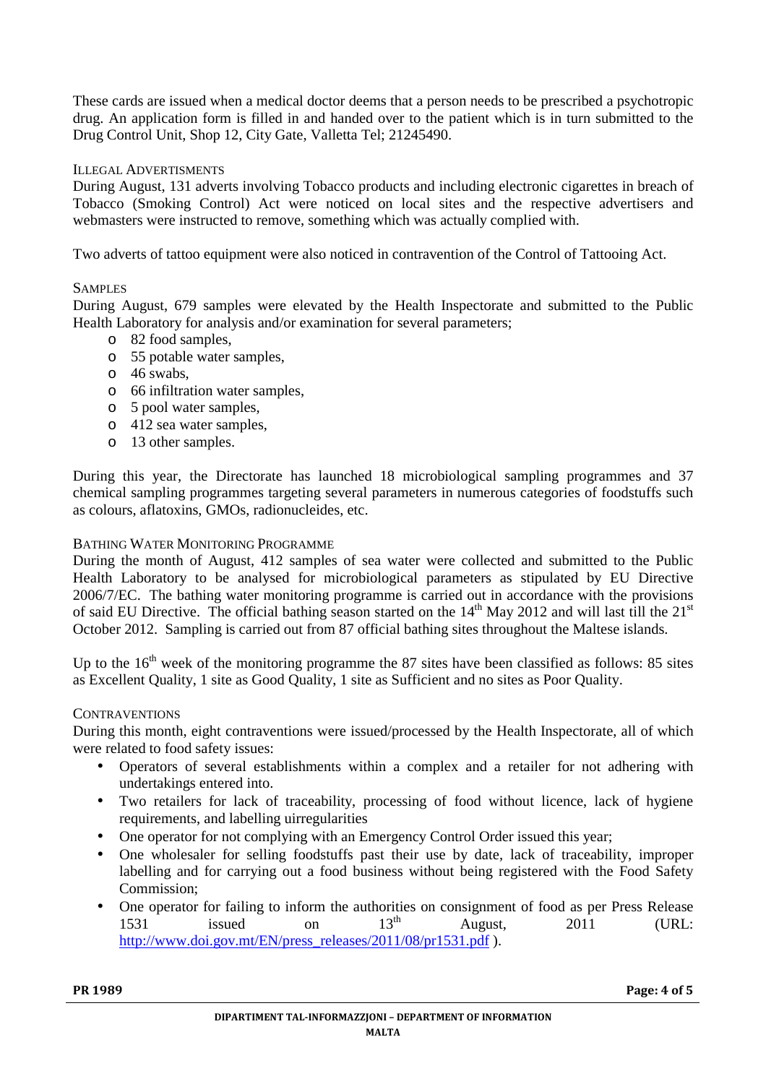These cards are issued when a medical doctor deems that a person needs to be prescribed a psychotropic drug. An application form is filled in and handed over to the patient which is in turn submitted to the Drug Control Unit, Shop 12, City Gate, Valletta Tel; 21245490.

#### ILLEGAL ADVERTISMENTS

During August, 131 adverts involving Tobacco products and including electronic cigarettes in breach of Tobacco (Smoking Control) Act were noticed on local sites and the respective advertisers and webmasters were instructed to remove, something which was actually complied with.

Two adverts of tattoo equipment were also noticed in contravention of the Control of Tattooing Act.

#### **SAMPLES**

During August, 679 samples were elevated by the Health Inspectorate and submitted to the Public Health Laboratory for analysis and/or examination for several parameters;

- o 82 food samples,
- o 55 potable water samples,
- o 46 swabs,
- o 66 infiltration water samples,
- o 5 pool water samples,
- o 412 sea water samples,
- o 13 other samples.

During this year, the Directorate has launched 18 microbiological sampling programmes and 37 chemical sampling programmes targeting several parameters in numerous categories of foodstuffs such as colours, aflatoxins, GMOs, radionucleides, etc.

#### BATHING WATER MONITORING PROGRAMME

During the month of August, 412 samples of sea water were collected and submitted to the Public Health Laboratory to be analysed for microbiological parameters as stipulated by EU Directive 2006/7/EC. The bathing water monitoring programme is carried out in accordance with the provisions of said EU Directive. The official bathing season started on the  $14<sup>th</sup>$  May 2012 and will last till the  $21<sup>st</sup>$ October 2012. Sampling is carried out from 87 official bathing sites throughout the Maltese islands.

Up to the  $16<sup>th</sup>$  week of the monitoring programme the 87 sites have been classified as follows: 85 sites as Excellent Quality, 1 site as Good Quality, 1 site as Sufficient and no sites as Poor Quality.

#### **CONTRAVENTIONS**

During this month, eight contraventions were issued/processed by the Health Inspectorate, all of which were related to food safety issues:

- Operators of several establishments within a complex and a retailer for not adhering with undertakings entered into.
- Two retailers for lack of traceability, processing of food without licence, lack of hygiene requirements, and labelling uirregularities
- One operator for not complying with an Emergency Control Order issued this year;
- One wholesaler for selling foodstuffs past their use by date, lack of traceability, improper labelling and for carrying out a food business without being registered with the Food Safety Commission;
- One operator for failing to inform the authorities on consignment of food as per Press Release<br>1531 issued on  $13^{th}$  August 2011 (URL:  $1531$  issued on  $13<sup>th</sup>$  August,  $2011$  (URL: http://www.doi.gov.mt/EN/press\_releases/2011/08/pr1531.pdf ).